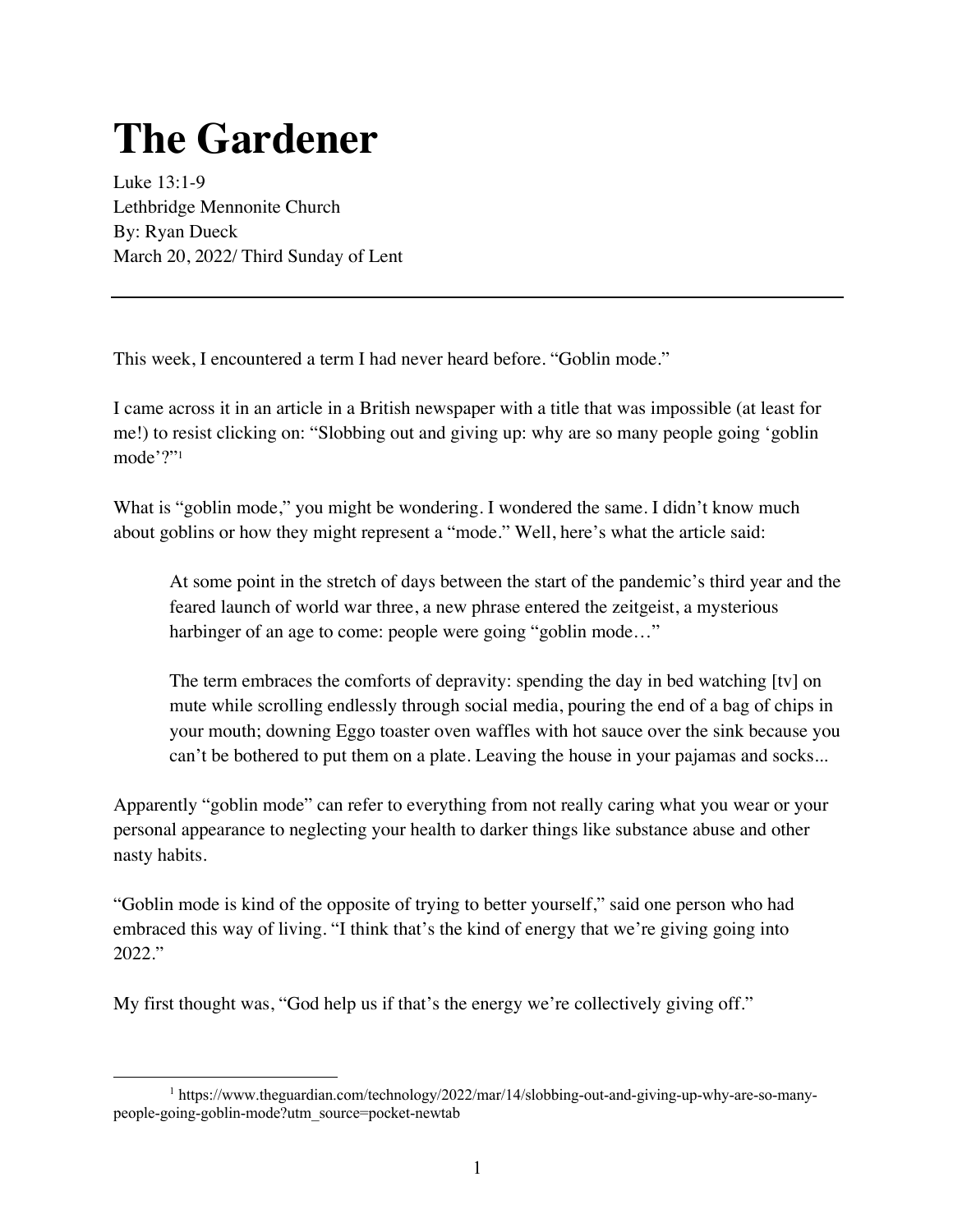## **The Gardener**

Luke 13:1-9 Lethbridge Mennonite Church By: Ryan Dueck March 20, 2022/ Third Sunday of Lent

This week, I encountered a term I had never heard before. "Goblin mode."

I came across it in an article in a British newspaper with a title that was impossible (at least for me!) to resist clicking on: "Slobbing out and giving up: why are so many people going 'goblin mode'?"1

What is "goblin mode," you might be wondering. I wondered the same. I didn't know much about goblins or how they might represent a "mode." Well, here's what the article said:

At some point in the stretch of days between the start of the pandemic's third year and the feared launch of world war three, a new phrase entered the zeitgeist, a mysterious harbinger of an age to come: people were going "goblin mode..."

The term embraces the comforts of depravity: spending the day in bed watching [tv] on mute while scrolling endlessly through social media, pouring the end of a bag of chips in your mouth; downing Eggo toaster oven waffles with hot sauce over the sink because you can't be bothered to put them on a plate. Leaving the house in your pajamas and socks...

Apparently "goblin mode" can refer to everything from not really caring what you wear or your personal appearance to neglecting your health to darker things like substance abuse and other nasty habits.

"Goblin mode is kind of the opposite of trying to better yourself," said one person who had embraced this way of living. "I think that's the kind of energy that we're giving going into 2022."

My first thought was, "God help us if that's the energy we're collectively giving off."

<sup>1</sup> https://www.theguardian.com/technology/2022/mar/14/slobbing-out-and-giving-up-why-are-so-manypeople-going-goblin-mode?utm\_source=pocket-newtab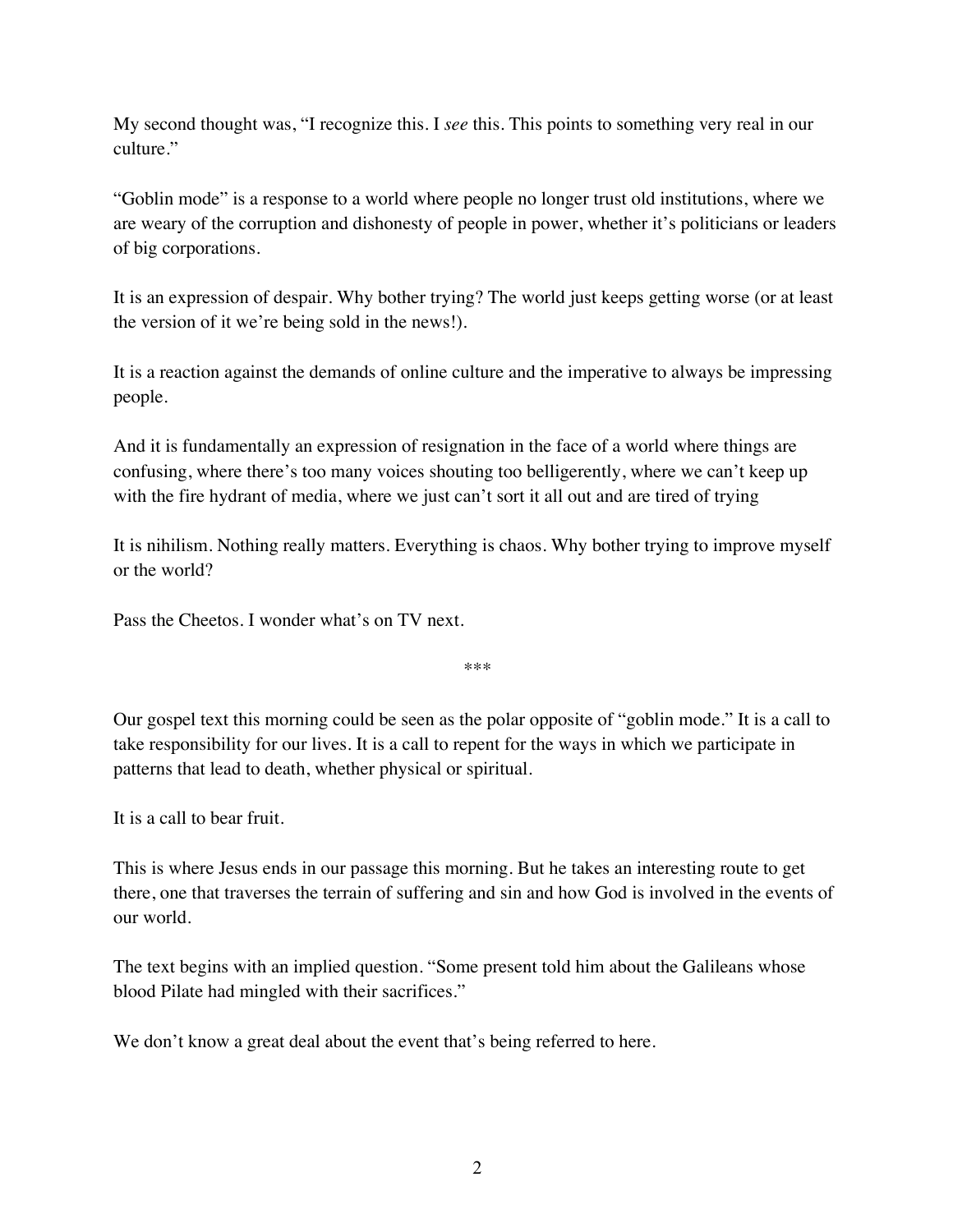My second thought was, "I recognize this. I *see* this. This points to something very real in our culture."

"Goblin mode" is a response to a world where people no longer trust old institutions, where we are weary of the corruption and dishonesty of people in power, whether it's politicians or leaders of big corporations.

It is an expression of despair. Why bother trying? The world just keeps getting worse (or at least the version of it we're being sold in the news!).

It is a reaction against the demands of online culture and the imperative to always be impressing people.

And it is fundamentally an expression of resignation in the face of a world where things are confusing, where there's too many voices shouting too belligerently, where we can't keep up with the fire hydrant of media, where we just can't sort it all out and are tired of trying

It is nihilism. Nothing really matters. Everything is chaos. Why bother trying to improve myself or the world?

Pass the Cheetos. I wonder what's on TV next.

\*\*\*

Our gospel text this morning could be seen as the polar opposite of "goblin mode." It is a call to take responsibility for our lives. It is a call to repent for the ways in which we participate in patterns that lead to death, whether physical or spiritual.

It is a call to bear fruit.

This is where Jesus ends in our passage this morning. But he takes an interesting route to get there, one that traverses the terrain of suffering and sin and how God is involved in the events of our world.

The text begins with an implied question. "Some present told him about the Galileans whose blood Pilate had mingled with their sacrifices."

We don't know a great deal about the event that's being referred to here.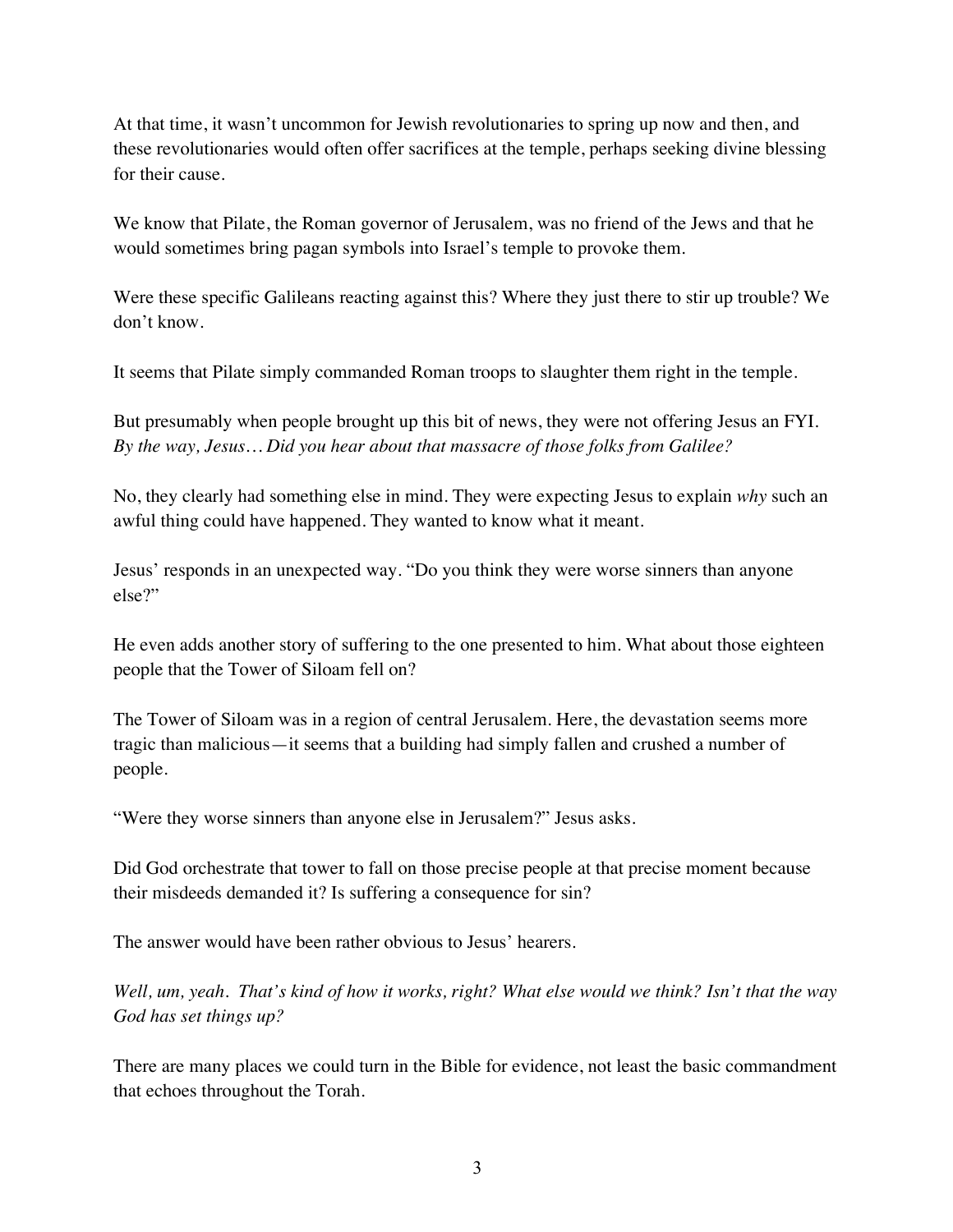At that time, it wasn't uncommon for Jewish revolutionaries to spring up now and then, and these revolutionaries would often offer sacrifices at the temple, perhaps seeking divine blessing for their cause.

We know that Pilate, the Roman governor of Jerusalem, was no friend of the Jews and that he would sometimes bring pagan symbols into Israel's temple to provoke them.

Were these specific Galileans reacting against this? Where they just there to stir up trouble? We don't know.

It seems that Pilate simply commanded Roman troops to slaughter them right in the temple.

But presumably when people brought up this bit of news, they were not offering Jesus an FYI. *By the way, Jesus… Did you hear about that massacre of those folks from Galilee?*

No, they clearly had something else in mind. They were expecting Jesus to explain *why* such an awful thing could have happened. They wanted to know what it meant.

Jesus' responds in an unexpected way. "Do you think they were worse sinners than anyone else?"

He even adds another story of suffering to the one presented to him. What about those eighteen people that the Tower of Siloam fell on?

The Tower of Siloam was in a region of central Jerusalem. Here, the devastation seems more tragic than malicious—it seems that a building had simply fallen and crushed a number of people.

"Were they worse sinners than anyone else in Jerusalem?" Jesus asks.

Did God orchestrate that tower to fall on those precise people at that precise moment because their misdeeds demanded it? Is suffering a consequence for sin?

The answer would have been rather obvious to Jesus' hearers.

*Well, um, yeah. That's kind of how it works, right? What else would we think? Isn't that the way God has set things up?* 

There are many places we could turn in the Bible for evidence, not least the basic commandment that echoes throughout the Torah.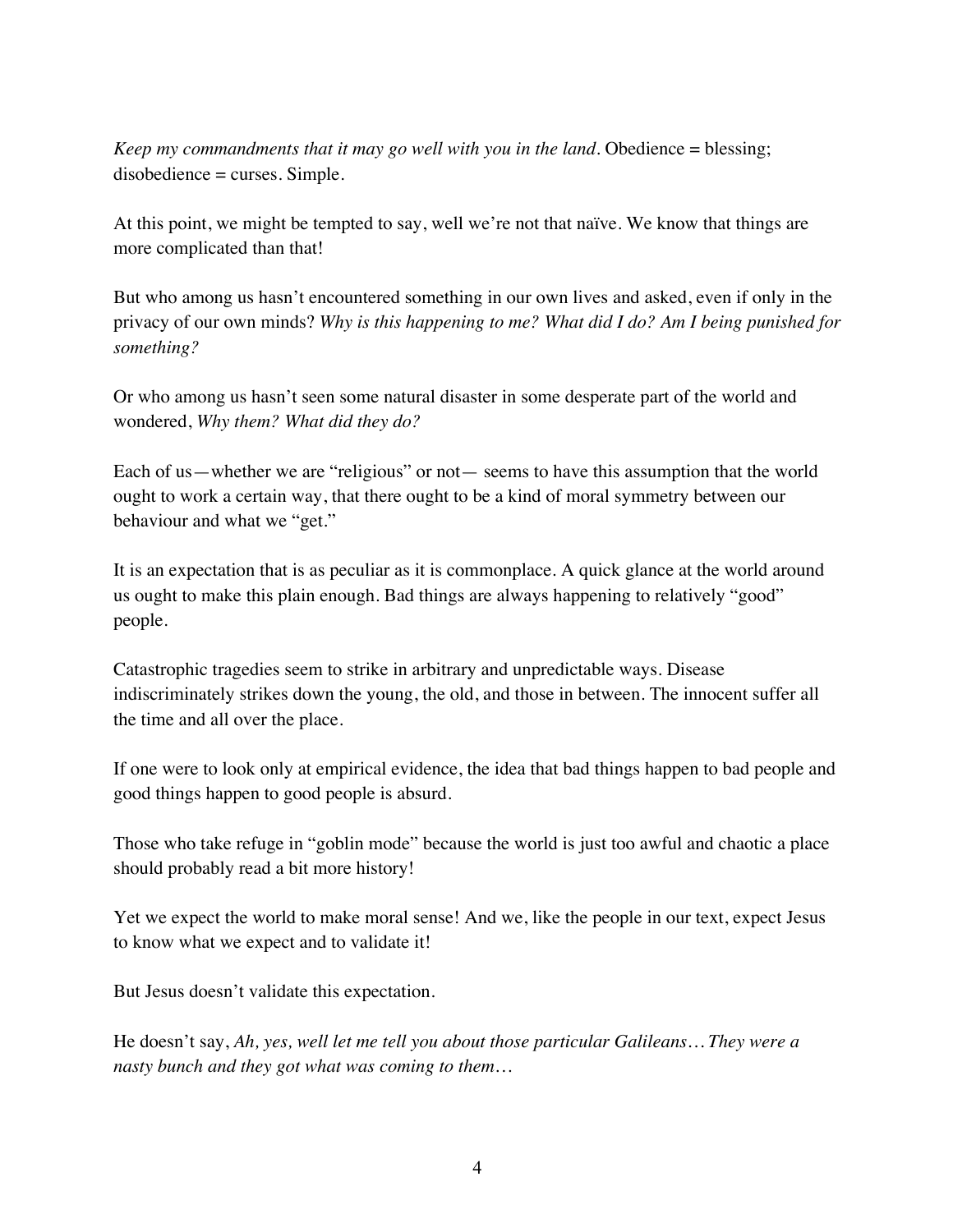*Keep my commandments that it may go well with you in the land.* Obedience = blessing; disobedience = curses. Simple.

At this point, we might be tempted to say, well we're not that naïve. We know that things are more complicated than that!

But who among us hasn't encountered something in our own lives and asked, even if only in the privacy of our own minds? *Why is this happening to me? What did I do? Am I being punished for something?*

Or who among us hasn't seen some natural disaster in some desperate part of the world and wondered, *Why them? What did they do?*

Each of us—whether we are "religious" or not— seems to have this assumption that the world ought to work a certain way, that there ought to be a kind of moral symmetry between our behaviour and what we "get."

It is an expectation that is as peculiar as it is commonplace. A quick glance at the world around us ought to make this plain enough. Bad things are always happening to relatively "good" people.

Catastrophic tragedies seem to strike in arbitrary and unpredictable ways. Disease indiscriminately strikes down the young, the old, and those in between. The innocent suffer all the time and all over the place.

If one were to look only at empirical evidence, the idea that bad things happen to bad people and good things happen to good people is absurd.

Those who take refuge in "goblin mode" because the world is just too awful and chaotic a place should probably read a bit more history!

Yet we expect the world to make moral sense! And we, like the people in our text, expect Jesus to know what we expect and to validate it!

But Jesus doesn't validate this expectation.

He doesn't say, *Ah, yes, well let me tell you about those particular Galileans… They were a nasty bunch and they got what was coming to them…*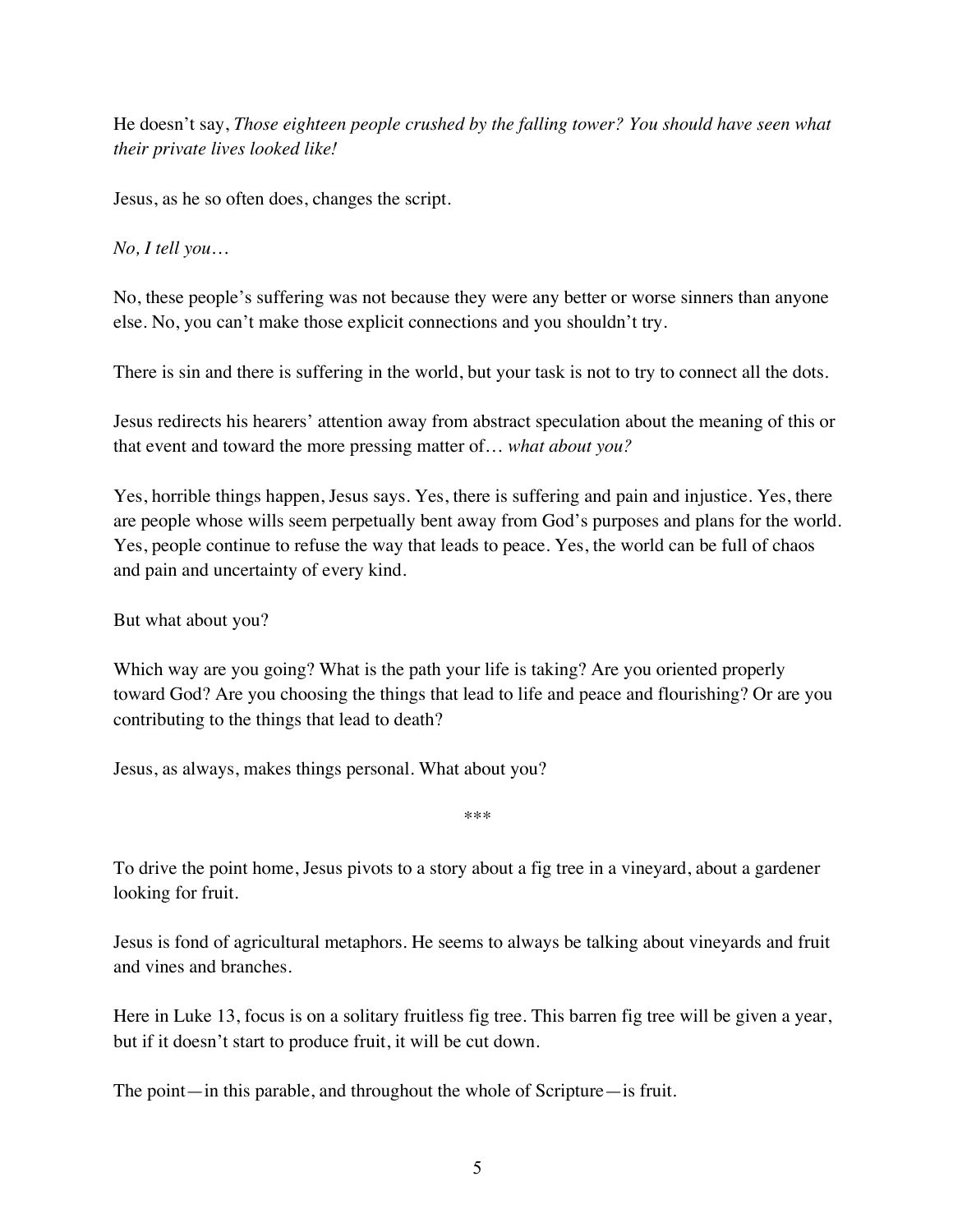He doesn't say, *Those eighteen people crushed by the falling tower? You should have seen what their private lives looked like!*

Jesus, as he so often does, changes the script.

*No, I tell you…* 

No, these people's suffering was not because they were any better or worse sinners than anyone else. No, you can't make those explicit connections and you shouldn't try.

There is sin and there is suffering in the world, but your task is not to try to connect all the dots.

Jesus redirects his hearers' attention away from abstract speculation about the meaning of this or that event and toward the more pressing matter of… *what about you?*

Yes, horrible things happen, Jesus says. Yes, there is suffering and pain and injustice. Yes, there are people whose wills seem perpetually bent away from God's purposes and plans for the world. Yes, people continue to refuse the way that leads to peace. Yes, the world can be full of chaos and pain and uncertainty of every kind.

But what about you?

Which way are you going? What is the path your life is taking? Are you oriented properly toward God? Are you choosing the things that lead to life and peace and flourishing? Or are you contributing to the things that lead to death?

Jesus, as always, makes things personal. What about you?

\*\*\*

To drive the point home, Jesus pivots to a story about a fig tree in a vineyard, about a gardener looking for fruit.

Jesus is fond of agricultural metaphors. He seems to always be talking about vineyards and fruit and vines and branches.

Here in Luke 13, focus is on a solitary fruitless fig tree. This barren fig tree will be given a year, but if it doesn't start to produce fruit, it will be cut down.

The point—in this parable, and throughout the whole of Scripture—is fruit.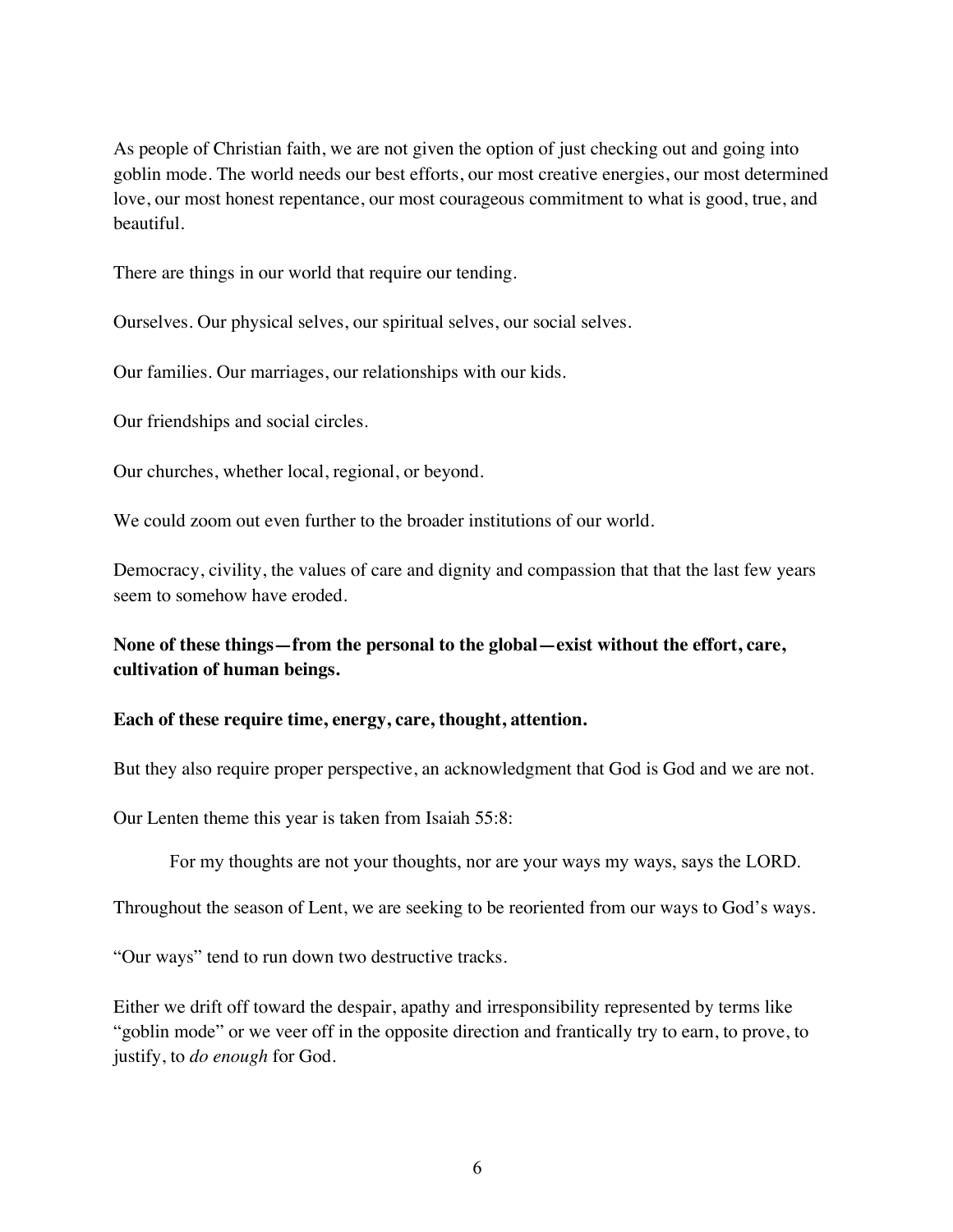As people of Christian faith, we are not given the option of just checking out and going into goblin mode. The world needs our best efforts, our most creative energies, our most determined love, our most honest repentance, our most courageous commitment to what is good, true, and beautiful.

There are things in our world that require our tending.

Ourselves. Our physical selves, our spiritual selves, our social selves.

Our families. Our marriages, our relationships with our kids.

Our friendships and social circles.

Our churches, whether local, regional, or beyond.

We could zoom out even further to the broader institutions of our world.

Democracy, civility, the values of care and dignity and compassion that that the last few years seem to somehow have eroded.

**None of these things—from the personal to the global—exist without the effort, care, cultivation of human beings.** 

## **Each of these require time, energy, care, thought, attention.**

But they also require proper perspective, an acknowledgment that God is God and we are not.

Our Lenten theme this year is taken from Isaiah 55:8:

For my thoughts are not your thoughts, nor are your ways my ways, says the LORD.

Throughout the season of Lent, we are seeking to be reoriented from our ways to God's ways.

"Our ways" tend to run down two destructive tracks.

Either we drift off toward the despair, apathy and irresponsibility represented by terms like "goblin mode" or we veer off in the opposite direction and frantically try to earn, to prove, to justify, to *do enough* for God.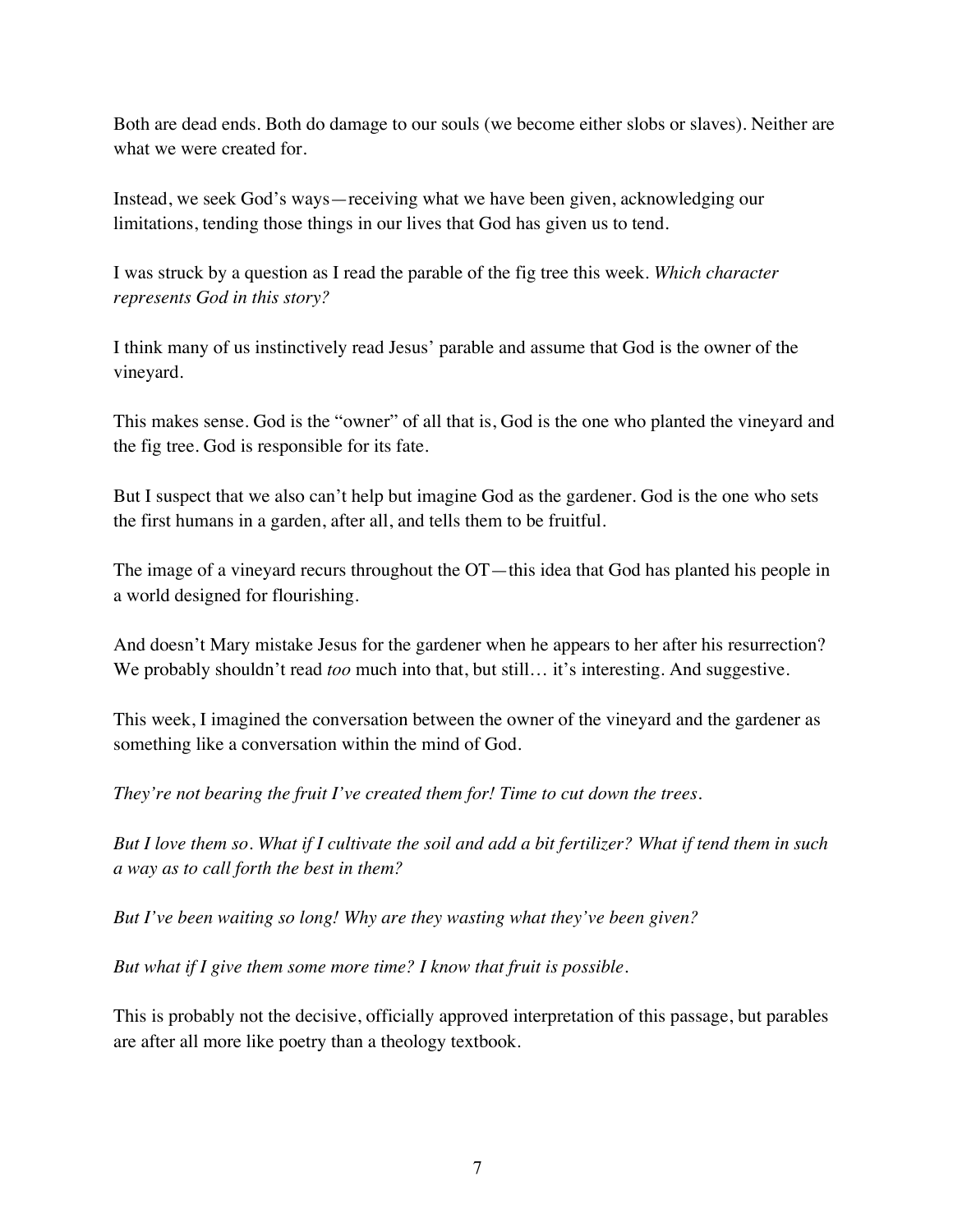Both are dead ends. Both do damage to our souls (we become either slobs or slaves). Neither are what we were created for.

Instead, we seek God's ways—receiving what we have been given, acknowledging our limitations, tending those things in our lives that God has given us to tend.

I was struck by a question as I read the parable of the fig tree this week. *Which character represents God in this story?*

I think many of us instinctively read Jesus' parable and assume that God is the owner of the vineyard.

This makes sense. God is the "owner" of all that is, God is the one who planted the vineyard and the fig tree. God is responsible for its fate.

But I suspect that we also can't help but imagine God as the gardener. God is the one who sets the first humans in a garden, after all, and tells them to be fruitful.

The image of a vineyard recurs throughout the OT—this idea that God has planted his people in a world designed for flourishing.

And doesn't Mary mistake Jesus for the gardener when he appears to her after his resurrection? We probably shouldn't read *too* much into that, but still... it's interesting. And suggestive.

This week, I imagined the conversation between the owner of the vineyard and the gardener as something like a conversation within the mind of God.

*They're not bearing the fruit I've created them for! Time to cut down the trees.* 

*But I love them so. What if I cultivate the soil and add a bit fertilizer? What if tend them in such a way as to call forth the best in them?* 

*But I've been waiting so long! Why are they wasting what they've been given?*

*But what if I give them some more time? I know that fruit is possible.* 

This is probably not the decisive, officially approved interpretation of this passage, but parables are after all more like poetry than a theology textbook.